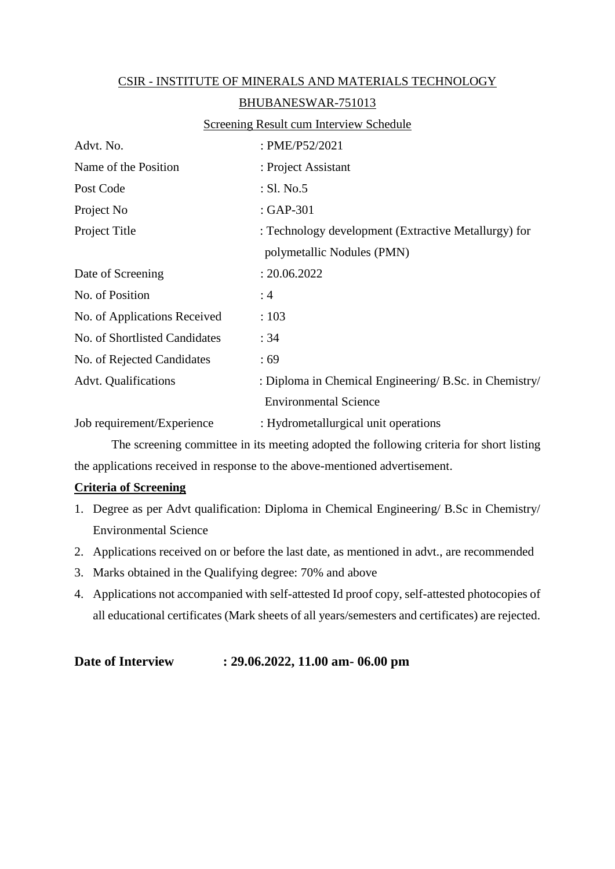| CSIR - INSTITUTE OF MINERALS AND MATERIALS TECHNOLOGY |                                                        |  |  |
|-------------------------------------------------------|--------------------------------------------------------|--|--|
| BHUBANESWAR-751013                                    |                                                        |  |  |
|                                                       | <b>Screening Result cum Interview Schedule</b>         |  |  |
| Advt. No.                                             | : PME/P52/2021                                         |  |  |
| Name of the Position                                  | : Project Assistant                                    |  |  |
| Post Code                                             | : SI. No.5                                             |  |  |
| Project No                                            | : GAP-301                                              |  |  |
| Project Title                                         | : Technology development (Extractive Metallurgy) for   |  |  |
|                                                       | polymetallic Nodules (PMN)                             |  |  |
| Date of Screening                                     | : 20.06.2022                                           |  |  |
| No. of Position                                       | :4                                                     |  |  |
| No. of Applications Received                          | : 103                                                  |  |  |
| No. of Shortlisted Candidates                         | : 34                                                   |  |  |
| No. of Rejected Candidates                            | :69                                                    |  |  |
| <b>Advt. Qualifications</b>                           | : Diploma in Chemical Engineering/ B.Sc. in Chemistry/ |  |  |
|                                                       | <b>Environmental Science</b>                           |  |  |
| Job requirement/Experience                            | : Hydrometallurgical unit operations                   |  |  |

The screening committee in its meeting adopted the following criteria for short listing the applications received in response to the above-mentioned advertisement.

## **Criteria of Screening**

- 1. Degree as per Advt qualification: Diploma in Chemical Engineering/ B.Sc in Chemistry/ Environmental Science
- 2. Applications received on or before the last date, as mentioned in advt., are recommended
- 3. Marks obtained in the Qualifying degree: 70% and above
- 4. Applications not accompanied with self-attested Id proof copy, self-attested photocopies of all educational certificates (Mark sheets of all years/semesters and certificates) are rejected.

## **Date of Interview : 29.06.2022, 11.00 am- 06.00 pm**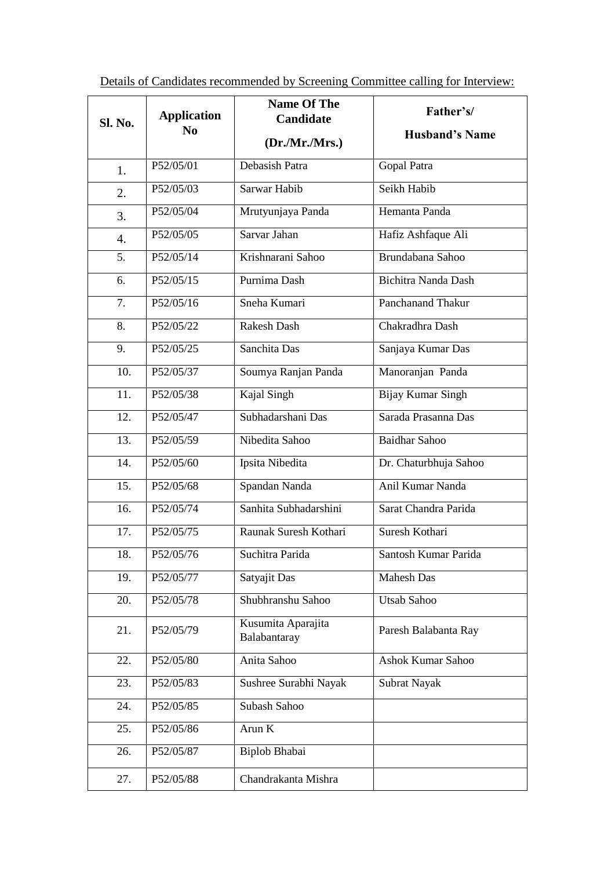|                | <b>Application</b> | <b>Name Of The</b><br><b>Candidate</b> | Father's/                  |
|----------------|--------------------|----------------------------------------|----------------------------|
| <b>Sl. No.</b> | N <sub>0</sub>     | (Dr.Mr.Mrs.)                           | <b>Husband's Name</b>      |
| 1.             | P52/05/01          | Debasish Patra                         | Gopal Patra                |
| 2.             | P52/05/03          | Sarwar Habib                           | Seikh Habib                |
| 3.             | P52/05/04          | Mrutyunjaya Panda                      | Hemanta Panda              |
| 4.             | P52/05/05          | Sarvar Jahan                           | Hafiz Ashfaque Ali         |
| 5.             | P52/05/14          | Krishnarani Sahoo                      | Brundabana Sahoo           |
| 6.             | P52/05/15          | Purnima Dash                           | <b>Bichitra Nanda Dash</b> |
| 7.             | P52/05/16          | Sneha Kumari                           | Panchanand Thakur          |
| 8.             | P52/05/22          | <b>Rakesh Dash</b>                     | Chakradhra Dash            |
| 9.             | P52/05/25          | Sanchita Das                           | Sanjaya Kumar Das          |
| 10.            | P52/05/37          | Soumya Ranjan Panda                    | Manoranjan Panda           |
| 11.            | P52/05/38          | Kajal Singh                            | <b>Bijay Kumar Singh</b>   |
| 12.            | P52/05/47          | Subhadarshani Das                      | Sarada Prasanna Das        |
| 13.            | P52/05/59          | Nibedita Sahoo                         | <b>Baidhar Sahoo</b>       |
| 14.            | P52/05/60          | Ipsita Nibedita                        | Dr. Chaturbhuja Sahoo      |
| 15.            | P52/05/68          | Spandan Nanda                          | Anil Kumar Nanda           |
| 16.            | P52/05/74          | Sanhita Subhadarshini                  | Sarat Chandra Parida       |
| 17.            | P52/05/75          | Raunak Suresh Kothari                  | Suresh Kothari             |
| 18.            | P52/05/76          | Suchitra Parida                        | Santosh Kumar Parida       |
| 19.            | P52/05/77          | Satyajit Das                           | <b>Mahesh Das</b>          |
| 20.            | P52/05/78          | Shubhranshu Sahoo                      | <b>Utsab Sahoo</b>         |
| 21.            | P52/05/79          | Kusumita Aparajita<br>Balabantaray     | Paresh Balabanta Ray       |
| 22.            | P52/05/80          | Anita Sahoo                            | Ashok Kumar Sahoo          |
| 23.            | P52/05/83          | Sushree Surabhi Nayak                  | Subrat Nayak               |
| 24.            | P52/05/85          | Subash Sahoo                           |                            |
| 25.            | P52/05/86          | Arun $\overline{K}$                    |                            |
| 26.            | P52/05/87          | Biplob Bhabai                          |                            |
| 27.            | P52/05/88          | Chandrakanta Mishra                    |                            |

Details of Candidates recommended by Screening Committee calling for Interview: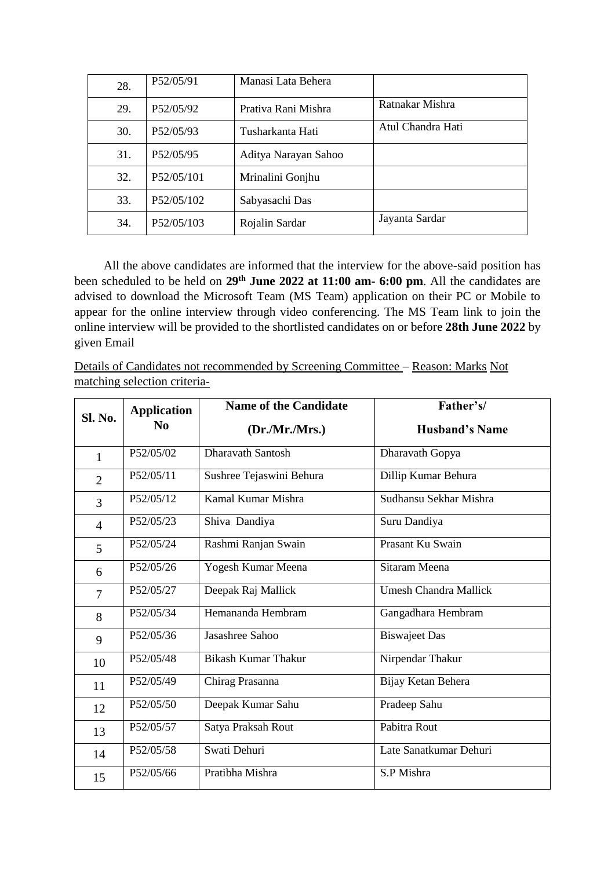| 28. | P52/05/91  | Manasi Lata Behera   |                   |
|-----|------------|----------------------|-------------------|
| 29. | P52/05/92  | Prativa Rani Mishra  | Ratnakar Mishra   |
| 30. | P52/05/93  | Tusharkanta Hati     | Atul Chandra Hati |
| 31. | P52/05/95  | Aditya Narayan Sahoo |                   |
| 32. | P52/05/101 | Mrinalini Gonjhu     |                   |
| 33. | P52/05/102 | Sabyasachi Das       |                   |
| 34. | P52/05/103 | Rojalin Sardar       | Jayanta Sardar    |

All the above candidates are informed that the interview for the above-said position has been scheduled to be held on **29 th June 2022 at 11:00 am- 6:00 pm**. All the candidates are advised to download the Microsoft Team (MS Team) application on their PC or Mobile to appear for the online interview through video conferencing. The MS Team link to join the online interview will be provided to the shortlisted candidates on or before **28th June 2022** by given Email

Details of Candidates not recommended by Screening Committee – Reason: Marks Not matching selection criteria-

| <b>Sl. No.</b> | <b>Application</b> | <b>Name of the Candidate</b> | Father's/                    |
|----------------|--------------------|------------------------------|------------------------------|
|                | N <sub>0</sub>     | (Dr.Mr.Mrs.)                 | <b>Husband's Name</b>        |
| 1              | P52/05/02          | <b>Dharavath Santosh</b>     | Dharavath Gopya              |
| $\overline{2}$ | P52/05/11          | Sushree Tejaswini Behura     | Dillip Kumar Behura          |
| 3              | P52/05/12          | Kamal Kumar Mishra           | Sudhansu Sekhar Mishra       |
| $\overline{4}$ | P52/05/23          | Shiva Dandiya                | Suru Dandiya                 |
| 5 <sup>5</sup> | P52/05/24          | Rashmi Ranjan Swain          | Prasant Ku Swain             |
| 6              | P52/05/26          | Yogesh Kumar Meena           | Sitaram Meena                |
| $\overline{7}$ | P52/05/27          | Deepak Raj Mallick           | <b>Umesh Chandra Mallick</b> |
| 8              | P52/05/34          | Hemananda Hembram            | Gangadhara Hembram           |
| 9              | P52/05/36          | Jasashree Sahoo              | <b>Biswajeet</b> Das         |
| 10             | P52/05/48          | <b>Bikash Kumar Thakur</b>   | Nirpendar Thakur             |
| 11             | P52/05/49          | Chirag Prasanna              | Bijay Ketan Behera           |
| 12             | P52/05/50          | Deepak Kumar Sahu            | Pradeep Sahu                 |
| 13             | P52/05/57          | Satya Praksah Rout           | Pabitra Rout                 |
| 14             | P52/05/58          | Swati Dehuri                 | Late Sanatkumar Dehuri       |
| 15             | P52/05/66          | Pratibha Mishra              | S.P Mishra                   |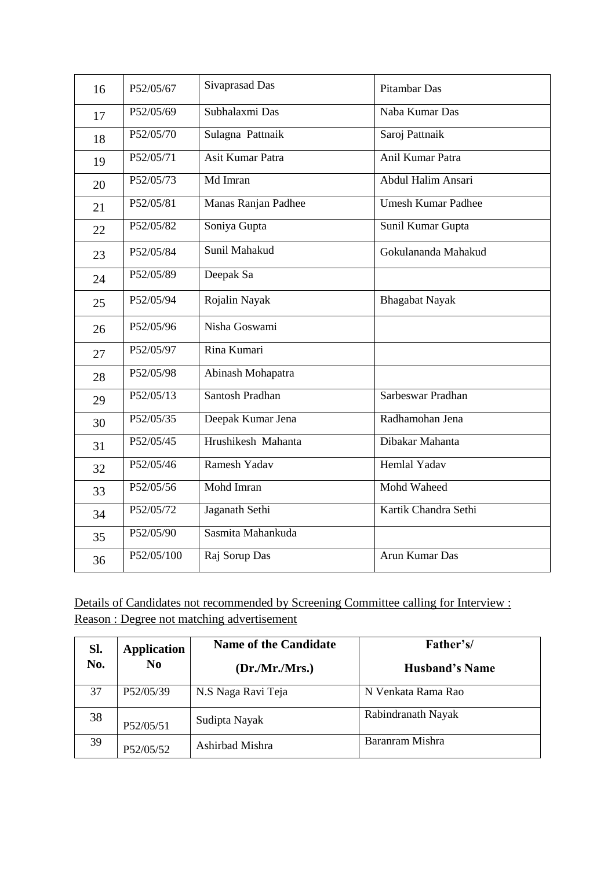| 16 | P52/05/67  | Sivaprasad Das      | <b>Pitambar Das</b>       |
|----|------------|---------------------|---------------------------|
| 17 | P52/05/69  | Subhalaxmi Das      | Naba Kumar Das            |
| 18 | P52/05/70  | Sulagna Pattnaik    | Saroj Pattnaik            |
| 19 | P52/05/71  | Asit Kumar Patra    | Anil Kumar Patra          |
| 20 | P52/05/73  | Md Imran            | <b>Abdul Halim Ansari</b> |
| 21 | P52/05/81  | Manas Ranjan Padhee | <b>Umesh Kumar Padhee</b> |
| 22 | P52/05/82  | Soniya Gupta        | Sunil Kumar Gupta         |
| 23 | P52/05/84  | Sunil Mahakud       | Gokulananda Mahakud       |
| 24 | P52/05/89  | Deepak Sa           |                           |
| 25 | P52/05/94  | Rojalin Nayak       | <b>Bhagabat Nayak</b>     |
| 26 | P52/05/96  | Nisha Goswami       |                           |
| 27 | P52/05/97  | Rina Kumari         |                           |
| 28 | P52/05/98  | Abinash Mohapatra   |                           |
| 29 | P52/05/13  | Santosh Pradhan     | Sarbeswar Pradhan         |
| 30 | P52/05/35  | Deepak Kumar Jena   | Radhamohan Jena           |
| 31 | P52/05/45  | Hrushikesh Mahanta  | Dibakar Mahanta           |
| 32 | P52/05/46  | <b>Ramesh Yadav</b> | <b>Hemlal Yadav</b>       |
| 33 | P52/05/56  | Mohd Imran          | Mohd Waheed               |
| 34 | P52/05/72  | Jaganath Sethi      | Kartik Chandra Sethi      |
| 35 | P52/05/90  | Sasmita Mahankuda   |                           |
| 36 | P52/05/100 | Raj Sorup Das       | Arun Kumar Das            |

Details of Candidates not recommended by Screening Committee calling for Interview : Reason : Degree not matching advertisement

| Sl. | <b>Application</b> | <b>Name of the Candidate</b> | Father's/             |
|-----|--------------------|------------------------------|-----------------------|
| No. | $\bf No$           | (Dr.Mr.Mrs.)                 | <b>Husband's Name</b> |
| 37  | P52/05/39          | N.S Naga Ravi Teja           | N Venkata Rama Rao    |
| 38  | P52/05/51          | Sudipta Nayak                | Rabindranath Nayak    |
| 39  | P52/05/52          | Ashirbad Mishra              | Baranram Mishra       |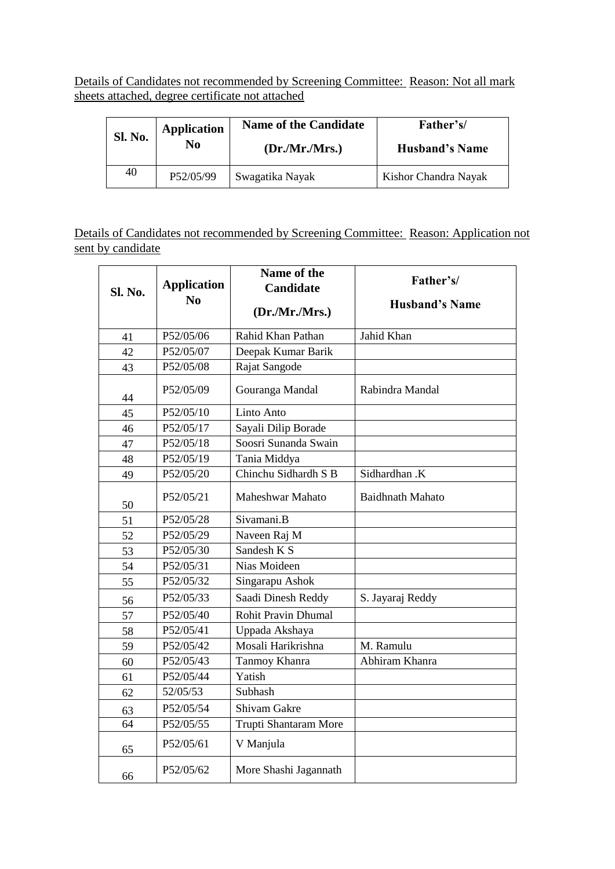Details of Candidates not recommended by Screening Committee: Reason: Not all mark sheets attached, degree certificate not attached

| <b>Sl. No.</b> | <b>Application</b> | <b>Name of the Candidate</b> | Father's/             |
|----------------|--------------------|------------------------------|-----------------------|
|                | No                 | (Dr.Mr.Mrs.)                 | <b>Husband's Name</b> |
| 40             | P52/05/99          | Swagatika Nayak              | Kishor Chandra Nayak  |

Details of Candidates not recommended by Screening Committee: Reason: Application not sent by candidate

| <b>Sl. No.</b> | <b>Application</b><br>N <sub>0</sub> | Name of the<br><b>Candidate</b><br>(Dr.Mr.Mrs.) | Father's/<br><b>Husband's Name</b> |
|----------------|--------------------------------------|-------------------------------------------------|------------------------------------|
| 41             | P52/05/06                            | Rahid Khan Pathan                               | Jahid Khan                         |
| 42             | P52/05/07                            | Deepak Kumar Barik                              |                                    |
| 43             | P52/05/08                            | Rajat Sangode                                   |                                    |
| 44             | P52/05/09                            | Gouranga Mandal                                 | Rabindra Mandal                    |
| 45             | P52/05/10                            | Linto Anto                                      |                                    |
| 46             | P52/05/17                            | Sayali Dilip Borade                             |                                    |
| 47             | P52/05/18                            | Soosri Sunanda Swain                            |                                    |
| 48             | P52/05/19                            | Tania Middya                                    |                                    |
| 49             | P52/05/20                            | Chinchu Sidhardh S B                            | Sidhardhan .K                      |
| 50             | P52/05/21                            | Maheshwar Mahato                                | <b>Baidhnath Mahato</b>            |
| 51             | P52/05/28                            | Sivamani.B                                      |                                    |
| 52             | P52/05/29                            | Naveen Raj M                                    |                                    |
| 53             | P52/05/30                            | Sandesh K S                                     |                                    |
| 54             | P52/05/31                            | Nias Moideen                                    |                                    |
| 55             | P52/05/32                            | Singarapu Ashok                                 |                                    |
| 56             | P52/05/33                            | Saadi Dinesh Reddy                              | S. Jayaraj Reddy                   |
| 57             | P52/05/40                            | <b>Rohit Pravin Dhumal</b>                      |                                    |
| 58             | P52/05/41                            | Uppada Akshaya                                  |                                    |
| 59             | P52/05/42                            | Mosali Harikrishna                              | M. Ramulu                          |
| 60             | P52/05/43                            | Tanmoy Khanra                                   | Abhiram Khanra                     |
| 61             | P52/05/44                            | Yatish                                          |                                    |
| 62             | 52/05/53                             | Subhash                                         |                                    |
| 63             | P52/05/54                            | Shivam Gakre                                    |                                    |
| 64             | P52/05/55                            | Trupti Shantaram More                           |                                    |
| 65             | P52/05/61                            | V Manjula                                       |                                    |
| 66             | P52/05/62                            | More Shashi Jagannath                           |                                    |